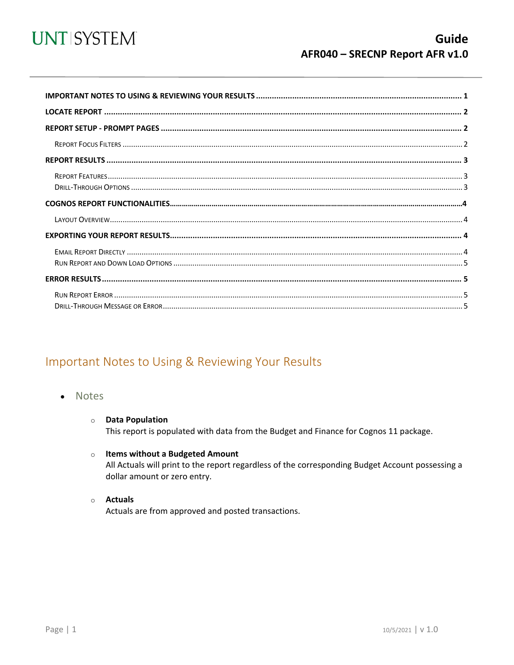

<span id="page-0-0"></span>

### Important Notes to Using & Reviewing Your Results

- Notes
	- **O** Data Population This report is populated with data from the Budget and Finance for Cognos 11 package.
	- $\circ$  Items without a Budgeted Amount All Actuals will print to the report regardless of the corresponding Budget Account possessing a dollar amount or zero entry.
	- $\circ$  Actuals

Actuals are from approved and posted transactions.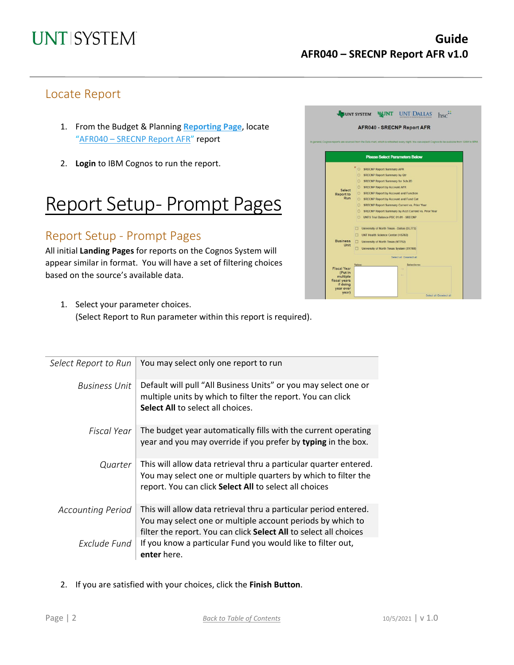### Locate Report

- 1. From the Budget & Planning **[Reporting Page](https://finance.untsystem.edu/reporting)**, locate "AFR040 – [SRECNP Report AFR"](https://cognospd.admin.unt.edu/bi/?pathRef=.public_folders%2FAFR%2BReports%2FAFR040%2B-%2BSRECNP%2BReport%2BAFR) report
- 2. **Login** to IBM Cognos to run the report.

## Report Setup- Prompt Pages

### Report Setup - Prompt Pages

All initial **Landing Pages** for reports on the Cognos System will appear similar in format. You will have a set of filtering choices based on the source's available data.



1. Select your parameter choices. (Select Report to Run parameter within this report is required).

| Select Report to Run     | You may select only one report to run                                                                                                                                                               |
|--------------------------|-----------------------------------------------------------------------------------------------------------------------------------------------------------------------------------------------------|
| <b>Business Unit</b>     | Default will pull "All Business Units" or you may select one or<br>multiple units by which to filter the report. You can click<br><b>Select All to select all choices.</b>                          |
| Fiscal Year              | The budget year automatically fills with the current operating<br>year and you may override if you prefer by typing in the box.                                                                     |
| Quarter                  | This will allow data retrieval thru a particular quarter entered.<br>You may select one or multiple quarters by which to filter the<br>report. You can click Select All to select all choices       |
| <b>Accounting Period</b> | This will allow data retrieval thru a particular period entered.<br>You may select one or multiple account periods by which to<br>filter the report. You can click Select All to select all choices |
| Exclude Fund             | If you know a particular Fund you would like to filter out,<br>enter here.                                                                                                                          |

2. If you are satisfied with your choices, click the **Finish Button**.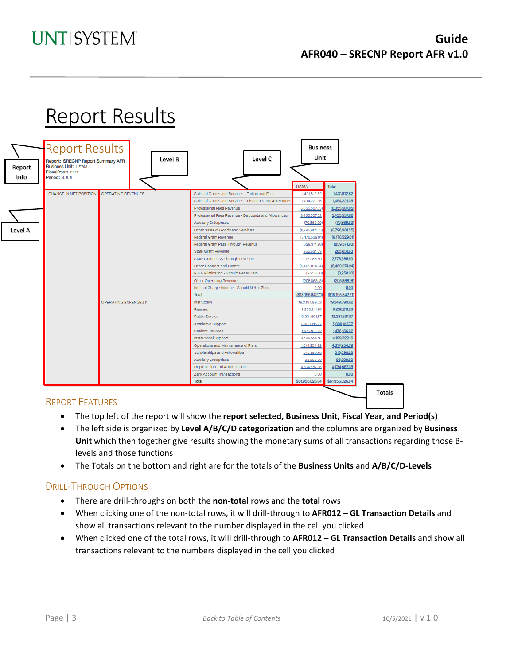### **UNT SYSTEM**

# Report Results



#### REPORT FEATURES

- The top left of the report will show the **report selected, Business Unit, Fiscal Year, and Period(s)**
- The left side is organized by **Level A/B/C/D categorization** and the columns are organized by **Business Unit** which then together give results showing the monetary sums of all transactions regarding those Blevels and those functions
- The Totals on the bottom and right are for the totals of the **Business Units** and **A/B/C/D-Levels**

#### DRILL-THROUGH OPTIONS

- There are drill-throughs on both the **non-total** rows and the **total** rows
- When clicking one of the non-total rows, it will drill-through to **AFR012 – GL Transaction Details** and show all transactions relevant to the number displayed in the cell you clicked
- When clicked one of the total rows, it will drill-through to **AFR012 – GL Transaction Details** and show all transactions relevant to the numbers displayed in the cell you clicked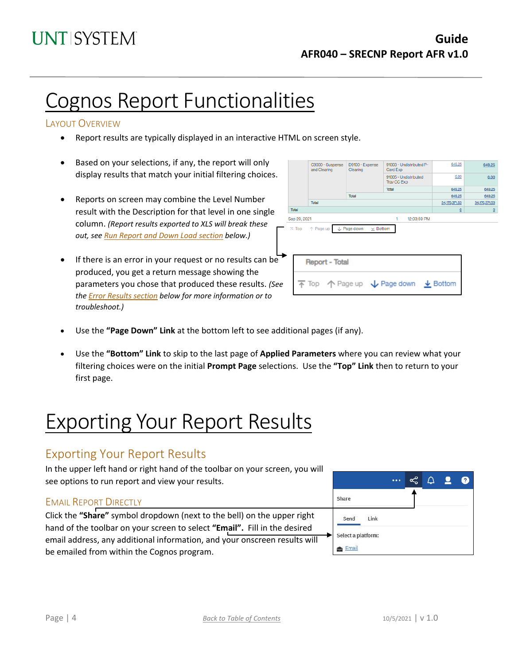# Cognos Report Functionalities

#### LAYOUT OVERVIEW

- Report results are typically displayed in an interactive HTML on screen style.
- Based on your selections, if any, the report will only display results that match your initial filtering choices.
- Reports on screen may combine the Level Number result with the Description for that level in one single column. *(Report results exported to XLS will break these out, see Run Report and Down Load section below.)*
- If there is an error in your request or no results can be produced, you get a return message showing the parameters you chose that produced these results. *(See th[e Error Results section](#page-4-0) below for more information or to troubleshoot.)*

|                                                                              | C9000 - Suspense<br>and Clearing | D9100 - Expense<br>Clearing | 91003 - Undistributed P-<br>Card Exp                                                    | 649.25                   | 649.25         |  |  |  |
|------------------------------------------------------------------------------|----------------------------------|-----------------------------|-----------------------------------------------------------------------------------------|--------------------------|----------------|--|--|--|
|                                                                              |                                  |                             | 91005 - Undistributed<br>Trav CC Exp                                                    | 0.00                     | 0.00           |  |  |  |
|                                                                              |                                  |                             | Total                                                                                   | 649.25                   | 649.25         |  |  |  |
|                                                                              |                                  | Total                       |                                                                                         | 649.25                   | 649.25         |  |  |  |
|                                                                              | Total                            | 34,170,371.53               | 34,170,371.53                                                                           |                          |                |  |  |  |
| Total                                                                        |                                  |                             |                                                                                         | $\underline{\mathsf{O}}$ | $\overline{0}$ |  |  |  |
| Sep 29, 2021<br>12:03:59 PM<br>1                                             |                                  |                             |                                                                                         |                          |                |  |  |  |
| L Page down<br>$\overline{\wedge}$ Top $\uparrow$ Page up<br>$\times$ Bottom |                                  |                             |                                                                                         |                          |                |  |  |  |
| <b>Report - Total</b>                                                        |                                  |                             |                                                                                         |                          |                |  |  |  |
|                                                                              |                                  |                             | $\overline{\uparrow}$ Top $\uparrow$ Page up $\downarrow$ Page down $\downarrow$ Bottom |                          |                |  |  |  |
|                                                                              |                                  |                             |                                                                                         |                          |                |  |  |  |

- Use the **"Page Down" Link** at the bottom left to see additional pages (if any).
- Use the **"Bottom" Link** to skip to the last page of **Applied Parameters** where you can review what your filtering choices were on the initial **Prompt Page** selections. Use the **"Top" Link** then to return to your first page.

# Exporting Your Report Results

### Exporting Your Report Results

In the upper left hand or right hand of the toolbar on your screen, you will see options to run report and view your results.

#### EMAIL REPORT DIRECTLY

Click the **"Share"** symbol dropdown (next to the bell) on the upper right hand of the toolbar on your screen to select **"Email".** Fill in the desired email address, any additional information, and your onscreen results will be emailed from within the Cognos program.